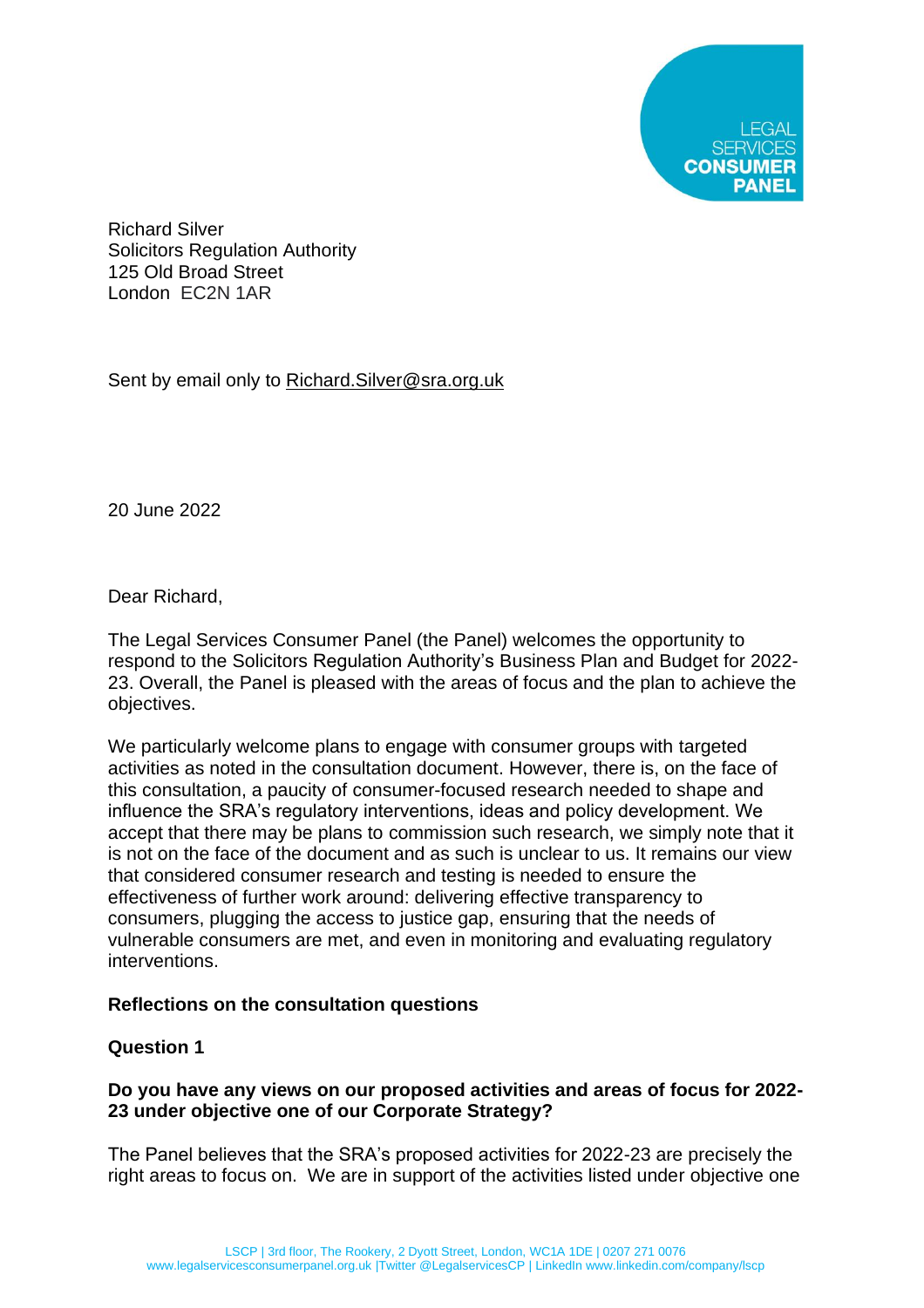

Richard Silver Solicitors Regulation Authority 125 Old Broad Street London EC2N 1AR

Sent by email only to Richard. Silver@sra.org.uk

20 June 2022

Dear Richard,

The Legal Services Consumer Panel (the Panel) welcomes the opportunity to respond to the Solicitors Regulation Authority's Business Plan and Budget for 2022- 23. Overall, the Panel is pleased with the areas of focus and the plan to achieve the objectives.

We particularly welcome plans to engage with consumer groups with targeted activities as noted in the consultation document. However, there is, on the face of this consultation, a paucity of consumer-focused research needed to shape and influence the SRA's regulatory interventions, ideas and policy development. We accept that there may be plans to commission such research, we simply note that it is not on the face of the document and as such is unclear to us. It remains our view that considered consumer research and testing is needed to ensure the effectiveness of further work around: delivering effective transparency to consumers, plugging the access to justice gap, ensuring that the needs of vulnerable consumers are met, and even in monitoring and evaluating regulatory interventions.

## **Reflections on the consultation questions**

## **Question 1**

# **Do you have any views on our proposed activities and areas of focus for 2022- 23 under objective one of our Corporate Strategy?**

The Panel believes that the SRA's proposed activities for 2022-23 are precisely the right areas to focus on. We are in support of the activities listed under objective one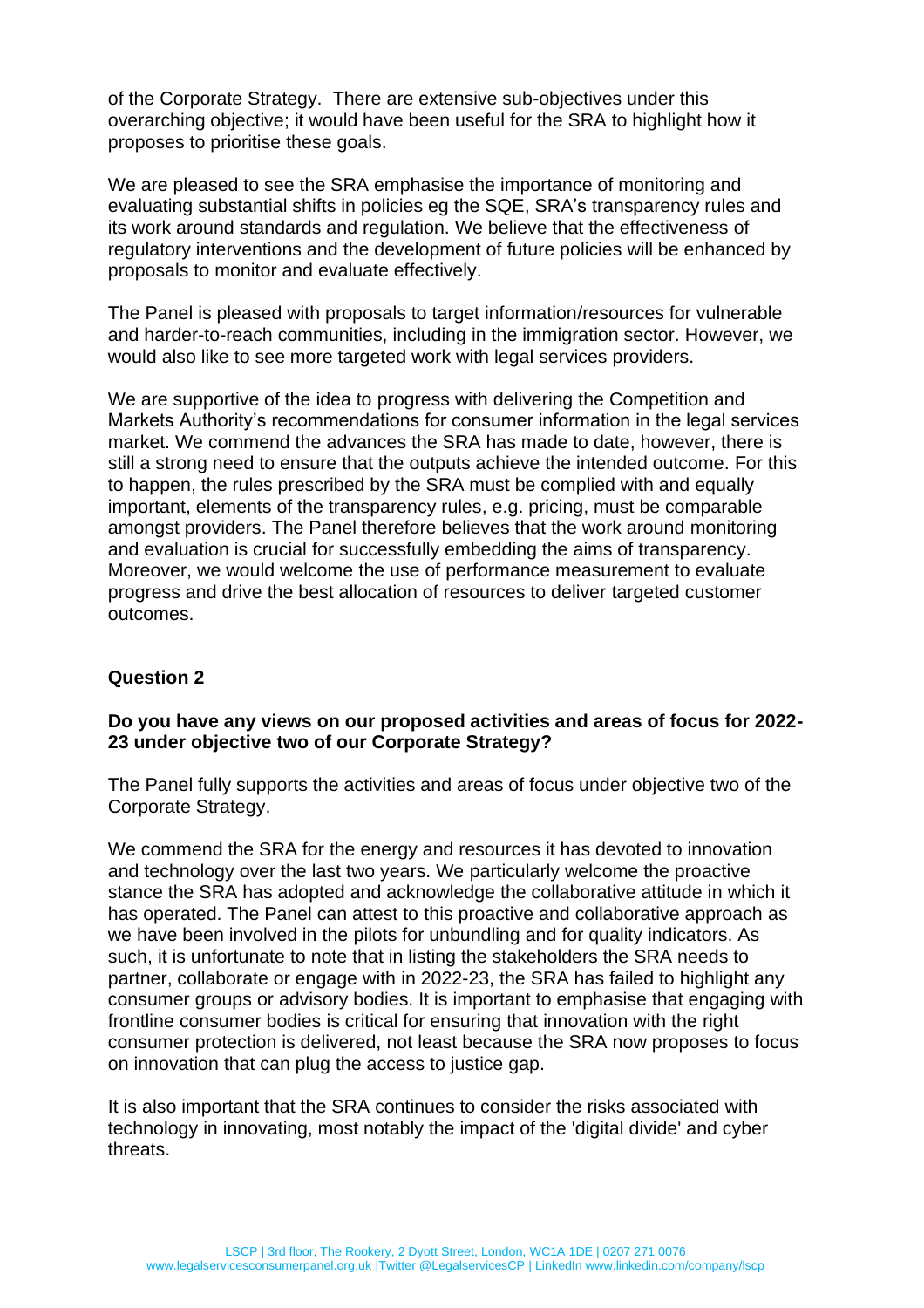of the Corporate Strategy. There are extensive sub-objectives under this overarching objective; it would have been useful for the SRA to highlight how it proposes to prioritise these goals.

We are pleased to see the SRA emphasise the importance of monitoring and evaluating substantial shifts in policies eg the SQE, SRA's transparency rules and its work around standards and regulation. We believe that the effectiveness of regulatory interventions and the development of future policies will be enhanced by proposals to monitor and evaluate effectively.

The Panel is pleased with proposals to target information/resources for vulnerable and harder-to-reach communities, including in the immigration sector. However, we would also like to see more targeted work with legal services providers.

We are supportive of the idea to progress with delivering the Competition and Markets Authority's recommendations for consumer information in the legal services market. We commend the advances the SRA has made to date, however, there is still a strong need to ensure that the outputs achieve the intended outcome. For this to happen, the rules prescribed by the SRA must be complied with and equally important, elements of the transparency rules, e.g. pricing, must be comparable amongst providers. The Panel therefore believes that the work around monitoring and evaluation is crucial for successfully embedding the aims of transparency. Moreover, we would welcome the use of performance measurement to evaluate progress and drive the best allocation of resources to deliver targeted customer outcomes.

## **Question 2**

## **Do you have any views on our proposed activities and areas of focus for 2022- 23 under objective two of our Corporate Strategy?**

The Panel fully supports the activities and areas of focus under objective two of the Corporate Strategy.

We commend the SRA for the energy and resources it has devoted to innovation and technology over the last two years. We particularly welcome the proactive stance the SRA has adopted and acknowledge the collaborative attitude in which it has operated. The Panel can attest to this proactive and collaborative approach as we have been involved in the pilots for unbundling and for quality indicators. As such, it is unfortunate to note that in listing the stakeholders the SRA needs to partner, collaborate or engage with in 2022-23, the SRA has failed to highlight any consumer groups or advisory bodies. It is important to emphasise that engaging with frontline consumer bodies is critical for ensuring that innovation with the right consumer protection is delivered, not least because the SRA now proposes to focus on innovation that can plug the access to justice gap.

It is also important that the SRA continues to consider the risks associated with technology in innovating, most notably the impact of the 'digital divide' and cyber threats.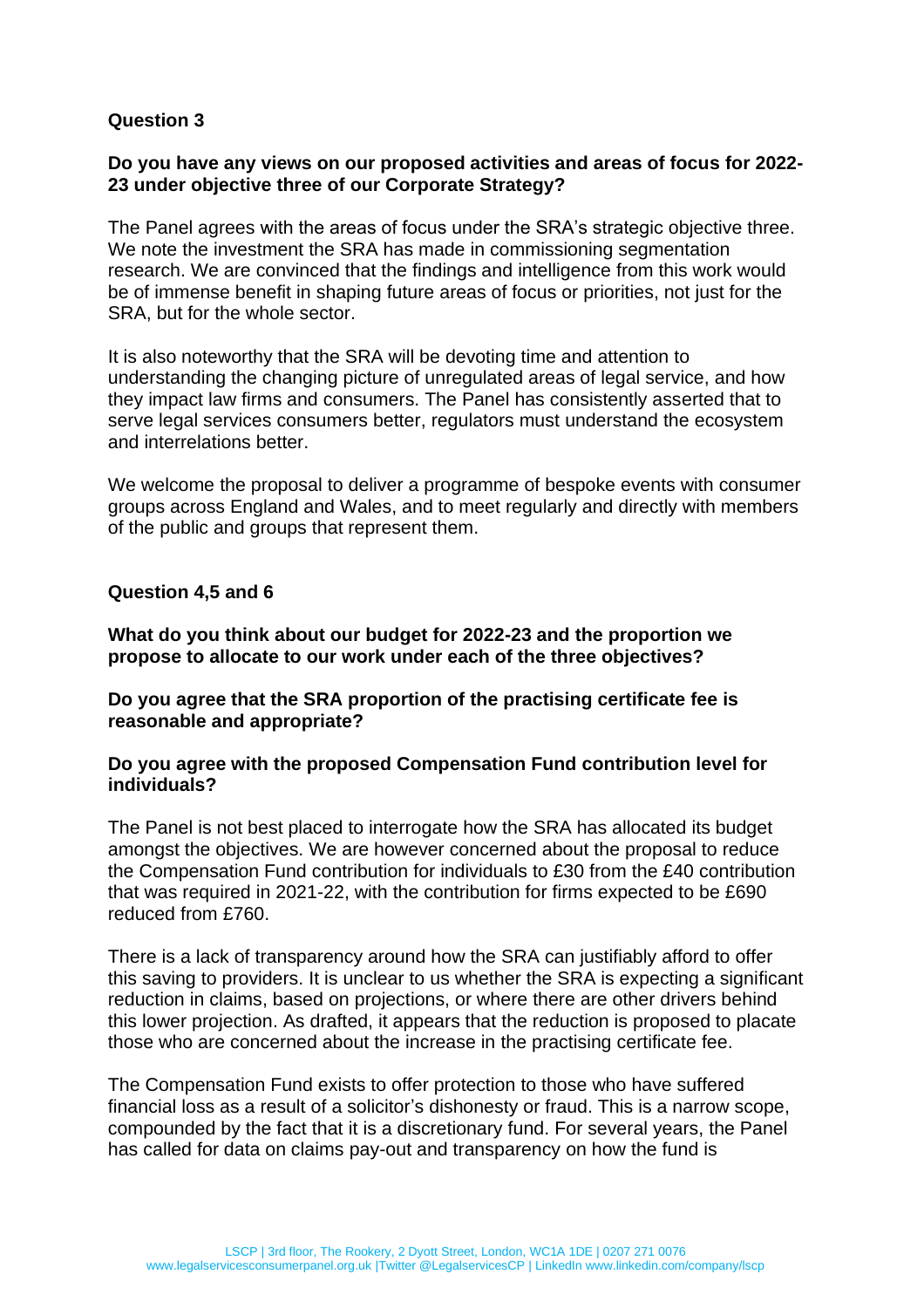# **Question 3**

## **Do you have any views on our proposed activities and areas of focus for 2022- 23 under objective three of our Corporate Strategy?**

The Panel agrees with the areas of focus under the SRA's strategic objective three. We note the investment the SRA has made in commissioning segmentation research. We are convinced that the findings and intelligence from this work would be of immense benefit in shaping future areas of focus or priorities, not just for the SRA, but for the whole sector.

It is also noteworthy that the SRA will be devoting time and attention to understanding the changing picture of unregulated areas of legal service, and how they impact law firms and consumers. The Panel has consistently asserted that to serve legal services consumers better, regulators must understand the ecosystem and interrelations better.

We welcome the proposal to deliver a programme of bespoke events with consumer groups across England and Wales, and to meet regularly and directly with members of the public and groups that represent them.

#### **Question 4,5 and 6**

**What do you think about our budget for 2022-23 and the proportion we propose to allocate to our work under each of the three objectives?**

**Do you agree that the SRA proportion of the practising certificate fee is reasonable and appropriate?**

#### **Do you agree with the proposed Compensation Fund contribution level for individuals?**

The Panel is not best placed to interrogate how the SRA has allocated its budget amongst the objectives. We are however concerned about the proposal to reduce the Compensation Fund contribution for individuals to £30 from the £40 contribution that was required in 2021-22, with the contribution for firms expected to be £690 reduced from £760.

There is a lack of transparency around how the SRA can justifiably afford to offer this saving to providers. It is unclear to us whether the SRA is expecting a significant reduction in claims, based on projections, or where there are other drivers behind this lower projection. As drafted, it appears that the reduction is proposed to placate those who are concerned about the increase in the practising certificate fee.

The Compensation Fund exists to offer protection to those who have suffered financial loss as a result of a solicitor's dishonesty or fraud. This is a narrow scope, compounded by the fact that it is a discretionary fund. For several years, the Panel has called for data on claims pay-out and transparency on how the fund is